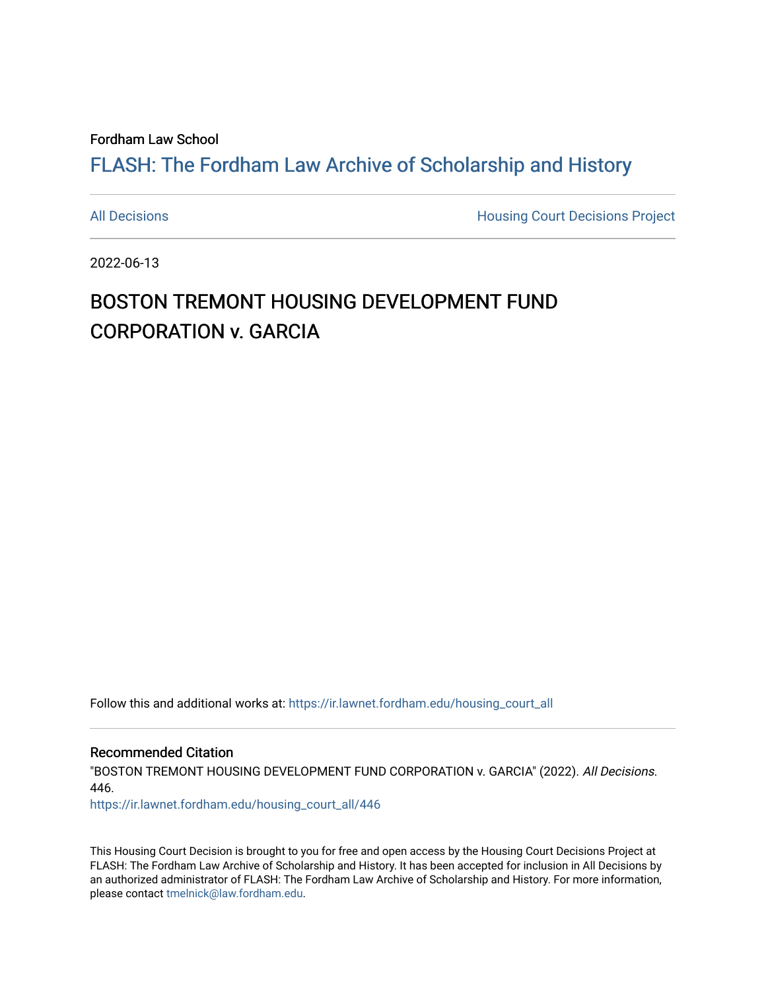Fordham Law School

## FLASH: The For[dham Law Archive of Scholarship and Hist](https://ir.lawnet.fordham.edu/)ory

[All Decisions](https://ir.lawnet.fordham.edu/housing_court_all) **All Decisions All Decisions** Project

2022-06-13

## BOSTON TREMONT HOUSING DEVELOPMENT FUND CORPORATION v. GARCIA

Follow this and additional works at: [https://ir.lawnet.fordham.edu/housing\\_court\\_all](https://ir.lawnet.fordham.edu/housing_court_all?utm_source=ir.lawnet.fordham.edu%2Fhousing_court_all%2F446&utm_medium=PDF&utm_campaign=PDFCoverPages)

Recommended Citation

"BOSTON TREMONT HOUSING DEVELOPMENT FUND CORPORATION v. GARCIA" (2022). All Decisions. 446.

[https://ir.lawnet.fordham.edu/housing\\_court\\_all/446](https://ir.lawnet.fordham.edu/housing_court_all/446?utm_source=ir.lawnet.fordham.edu%2Fhousing_court_all%2F446&utm_medium=PDF&utm_campaign=PDFCoverPages)

This Housing Court Decision is brought to you for free and open access by the Housing Court Decisions Project at FLASH: The Fordham Law Archive of Scholarship and History. It has been accepted for inclusion in All Decisions by an authorized administrator of FLASH: The Fordham Law Archive of Scholarship and History. For more information, please contact [tmelnick@law.fordham.edu](mailto:tmelnick@law.fordham.edu).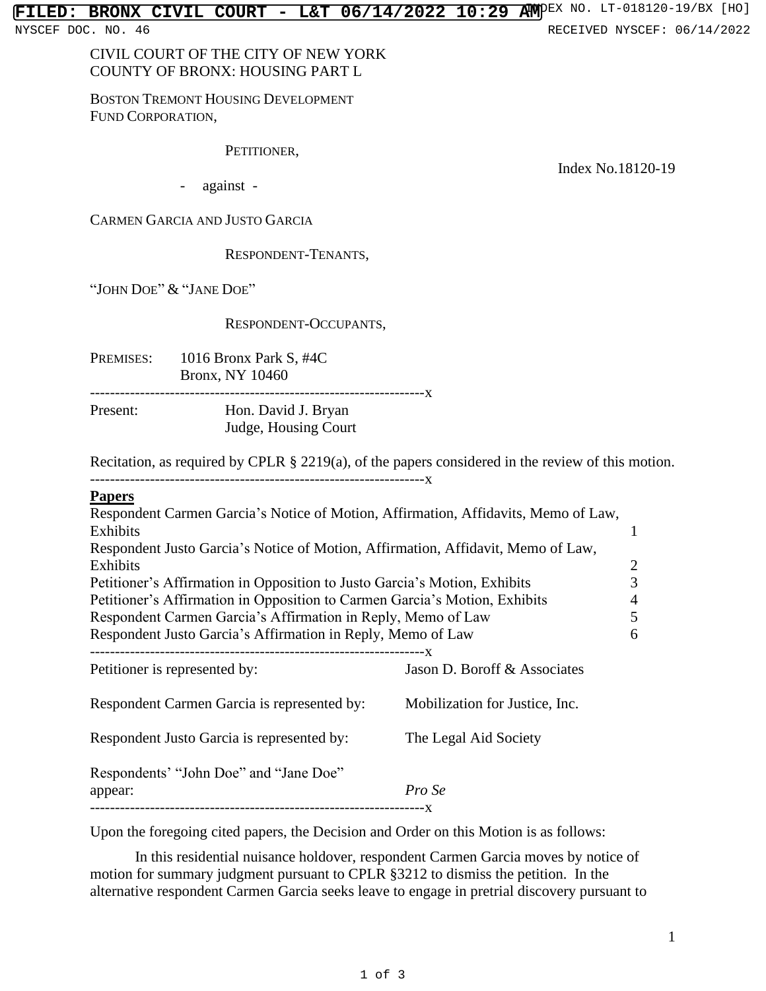NYSCEF DOC. NO. 46 **RECEIVED NYSCEF: 06/14/2022** 

CIVIL COURT OF THE CITY OF NEW YORK COUNTY OF BRONX: HOUSING PART L

BOSTON TREMONT HOUSING DEVELOPMENT FUND CORPORATION,

PETITIONER,

Index No.18120-19

- against -

CARMEN GARCIA AND JUSTO GARCIA

RESPONDENT-TENANTS,

"JOHN DOE" & "JANE DOE"

## RESPONDENT-OCCUPANTS,

PREMISES: 1016 Bronx Park S, #4C Bronx, NY 10460

-------------------------------------------------------------------x Present: Hon. David J. Bryan Judge, Housing Court

Recitation, as required by CPLR § 2219(a), of the papers considered in the review of this motion.

-------------------------------------------------------------------x

## **Papers**

| Respondent Carmen Garcia's Notice of Motion, Affirmation, Affidavits, Memo of Law, |                                |   |
|------------------------------------------------------------------------------------|--------------------------------|---|
| Exhibits                                                                           |                                | 1 |
| Respondent Justo Garcia's Notice of Motion, Affirmation, Affidavit, Memo of Law,   |                                |   |
| Exhibits                                                                           |                                | 2 |
| Petitioner's Affirmation in Opposition to Justo Garcia's Motion, Exhibits          |                                | 3 |
| Petitioner's Affirmation in Opposition to Carmen Garcia's Motion, Exhibits         |                                | 4 |
| Respondent Carmen Garcia's Affirmation in Reply, Memo of Law                       |                                | 5 |
| Respondent Justo Garcia's Affirmation in Reply, Memo of Law                        |                                | 6 |
|                                                                                    |                                |   |
| Petitioner is represented by:                                                      | Jason D. Boroff & Associates   |   |
| Respondent Carmen Garcia is represented by:                                        | Mobilization for Justice, Inc. |   |
| Respondent Justo Garcia is represented by:                                         | The Legal Aid Society          |   |
| Respondents' "John Doe" and "Jane Doe"                                             |                                |   |
| appear:                                                                            | Pro Se                         |   |
|                                                                                    |                                |   |

Upon the foregoing cited papers, the Decision and Order on this Motion is as follows:

In this residential nuisance holdover, respondent Carmen Garcia moves by notice of motion for summary judgment pursuant to CPLR §3212 to dismiss the petition. In the alternative respondent Carmen Garcia seeks leave to engage in pretrial discovery pursuant to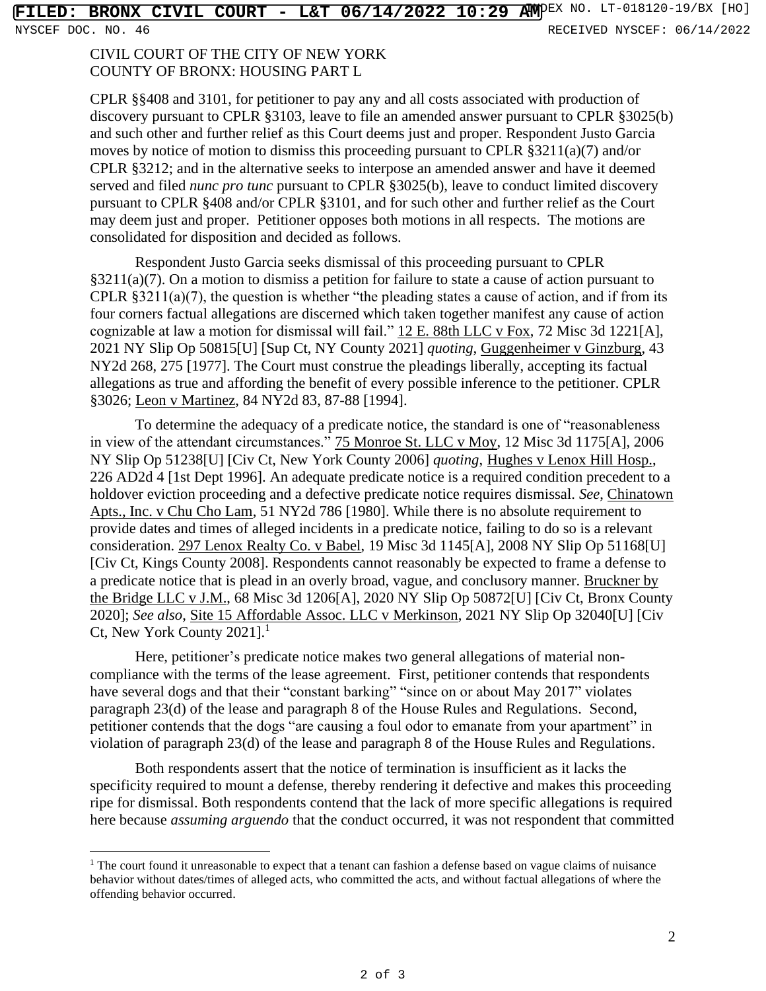CIVIL COURT OF THE CITY OF NEW YORK COUNTY OF BRONX: HOUSING PART L

CPLR §§408 and 3101, for petitioner to pay any and all costs associated with production of discovery pursuant to CPLR §3103, leave to file an amended answer pursuant to CPLR §3025(b) and such other and further relief as this Court deems just and proper. Respondent Justo Garcia moves by notice of motion to dismiss this proceeding pursuant to CPLR §3211(a)(7) and/or CPLR §3212; and in the alternative seeks to interpose an amended answer and have it deemed served and filed *nunc pro tunc* pursuant to CPLR §3025(b), leave to conduct limited discovery pursuant to CPLR §408 and/or CPLR §3101, and for such other and further relief as the Court may deem just and proper. Petitioner opposes both motions in all respects. The motions are consolidated for disposition and decided as follows.

Respondent Justo Garcia seeks dismissal of this proceeding pursuant to CPLR §3211(a)(7). On a motion to dismiss a petition for failure to state a cause of action pursuant to CPLR §3211(a)(7), the question is whether "the pleading states a cause of action, and if from its four corners factual allegations are discerned which taken together manifest any cause of action cognizable at law a motion for dismissal will fail." 12 E. 88th LLC v Fox, 72 Misc 3d 1221[A], 2021 NY Slip Op 50815[U] [Sup Ct, NY County 2021] *quoting*, Guggenheimer v Ginzburg, 43 NY2d 268, 275 [1977]. The Court must construe the pleadings liberally, accepting its factual allegations as true and affording the benefit of every possible inference to the petitioner. CPLR §3026; Leon v Martinez, 84 NY2d 83, 87-88 [1994].

To determine the adequacy of a predicate notice, the standard is one of "reasonableness in view of the attendant circumstances." 75 Monroe St. LLC v Moy, 12 Misc 3d 1175[A], 2006 NY Slip Op 51238[U] [Civ Ct, New York County 2006] *quoting*, Hughes v Lenox Hill Hosp., 226 AD2d 4 [1st Dept 1996]. An adequate predicate notice is a required condition precedent to a holdover eviction proceeding and a defective predicate notice requires dismissal. *See*, Chinatown Apts., Inc. v Chu Cho Lam, 51 NY2d 786 [1980]. While there is no absolute requirement to provide dates and times of alleged incidents in a predicate notice, failing to do so is a relevant consideration. 297 Lenox Realty Co. v Babel, 19 Misc 3d 1145[A], 2008 NY Slip Op 51168[U] [Civ Ct, Kings County 2008]. Respondents cannot reasonably be expected to frame a defense to a predicate notice that is plead in an overly broad, vague, and conclusory manner. Bruckner by the Bridge LLC v J.M., 68 Misc 3d 1206[A], 2020 NY Slip Op 50872[U] [Civ Ct, Bronx County 2020]; *See also*, Site 15 Affordable Assoc. LLC v Merkinson, 2021 NY Slip Op 32040[U] [Civ Ct, New York County  $2021$ ].<sup>1</sup>

Here, petitioner's predicate notice makes two general allegations of material noncompliance with the terms of the lease agreement. First, petitioner contends that respondents have several dogs and that their "constant barking" "since on or about May 2017" violates paragraph 23(d) of the lease and paragraph 8 of the House Rules and Regulations. Second, petitioner contends that the dogs "are causing a foul odor to emanate from your apartment" in violation of paragraph 23(d) of the lease and paragraph 8 of the House Rules and Regulations.

Both respondents assert that the notice of termination is insufficient as it lacks the specificity required to mount a defense, thereby rendering it defective and makes this proceeding ripe for dismissal. Both respondents contend that the lack of more specific allegations is required here because *assuming arguendo* that the conduct occurred, it was not respondent that committed

<sup>&</sup>lt;sup>1</sup> The court found it unreasonable to expect that a tenant can fashion a defense based on vague claims of nuisance behavior without dates/times of alleged acts, who committed the acts, and without factual allegations of where the offending behavior occurred.